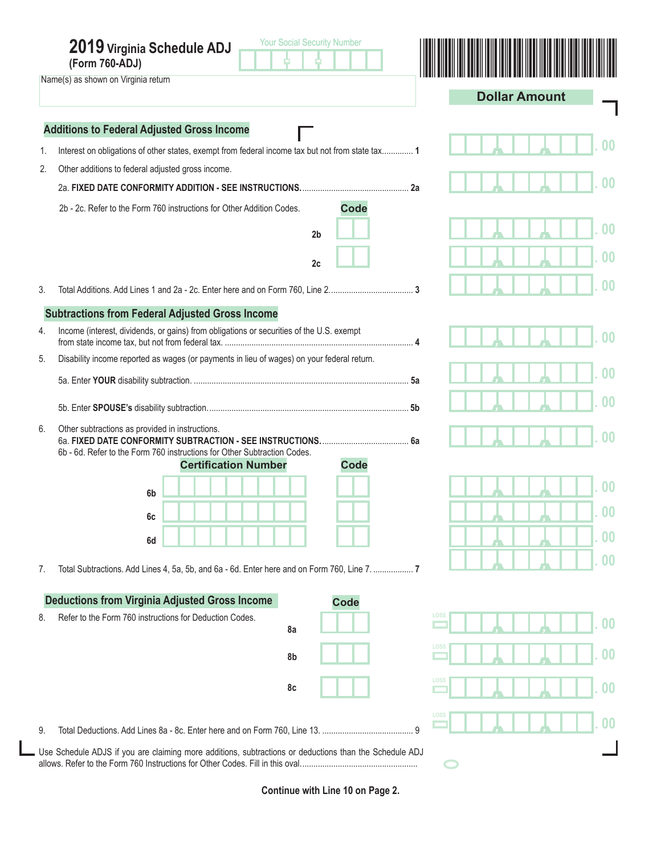|    | <b>Your Social Security Number</b><br>2019 Virginia Schedule ADJ<br>(Form 760-ADJ)                                              |                           |
|----|---------------------------------------------------------------------------------------------------------------------------------|---------------------------|
|    | Name(s) as shown on Virginia return                                                                                             | <b>Dollar Amount</b>      |
|    | <b>Additions to Federal Adjusted Gross Income</b>                                                                               |                           |
| 1. | Interest on obligations of other states, exempt from federal income tax but not from state tax 1                                |                           |
| 2. | Other additions to federal adjusted gross income.                                                                               |                           |
|    | . 2а                                                                                                                            |                           |
|    | 2b - 2c. Refer to the Form 760 instructions for Other Addition Codes.<br><b>Code</b>                                            |                           |
|    | 2 <sub>b</sub>                                                                                                                  | 00                        |
|    | 2c                                                                                                                              |                           |
| 3. |                                                                                                                                 | 00                        |
|    | <b>Subtractions from Federal Adjusted Gross Income</b>                                                                          |                           |
| 4. | Income (interest, dividends, or gains) from obligations or securities of the U.S. exempt                                        | 00                        |
| 5. | Disability income reported as wages (or payments in lieu of wages) on your federal return.                                      |                           |
|    |                                                                                                                                 |                           |
|    |                                                                                                                                 | 00                        |
| 6. | Other subtractions as provided in instructions.<br>6b - 6d. Refer to the Form 760 instructions for Other Subtraction Codes.     | $00 \,$                   |
|    | <b>Code</b><br><b>Certification Number</b>                                                                                      |                           |
|    | 6b                                                                                                                              | 00                        |
|    | 6c                                                                                                                              | <u>UU</u>                 |
|    | 6d                                                                                                                              | 0 <sup>0</sup>            |
| 7. | Total Subtractions. Add Lines 4, 5a, 5b, and 6a - 6d. Enter here and on Form 760, Line 7.  7                                    | 0 <sup>0</sup>            |
|    |                                                                                                                                 |                           |
| 8. | <b>Deductions from Virginia Adjusted Gross Income</b><br><b>Code</b><br>Refer to the Form 760 instructions for Deduction Codes. | LOSS                      |
|    | 8a                                                                                                                              | $\boldsymbol{00}$         |
|    | 8b                                                                                                                              | LOSS<br>00                |
|    | 8c                                                                                                                              | LOSS<br>$\boldsymbol{00}$ |
| 9. |                                                                                                                                 | LOSS<br>0 <sub>0</sub>    |
|    | Use Schedule ADJS if you are claiming more additions, subtractions or deductions than the Schedule ADJ                          |                           |
|    |                                                                                                                                 |                           |

**Continue with Line 10 on Page 2.**

I